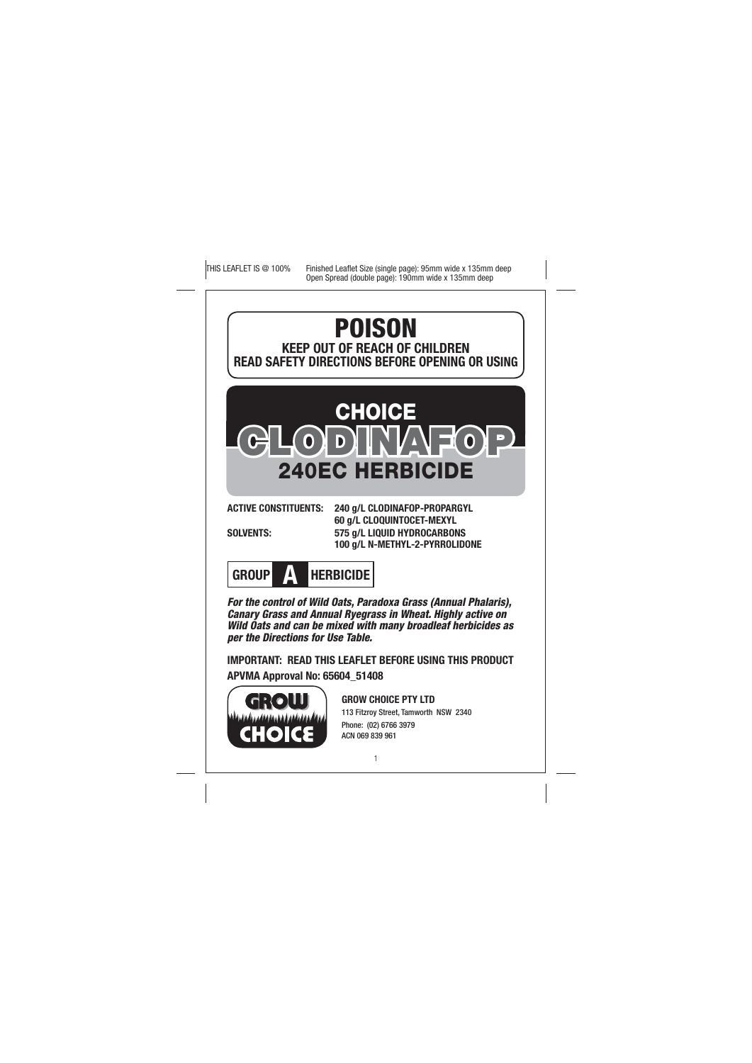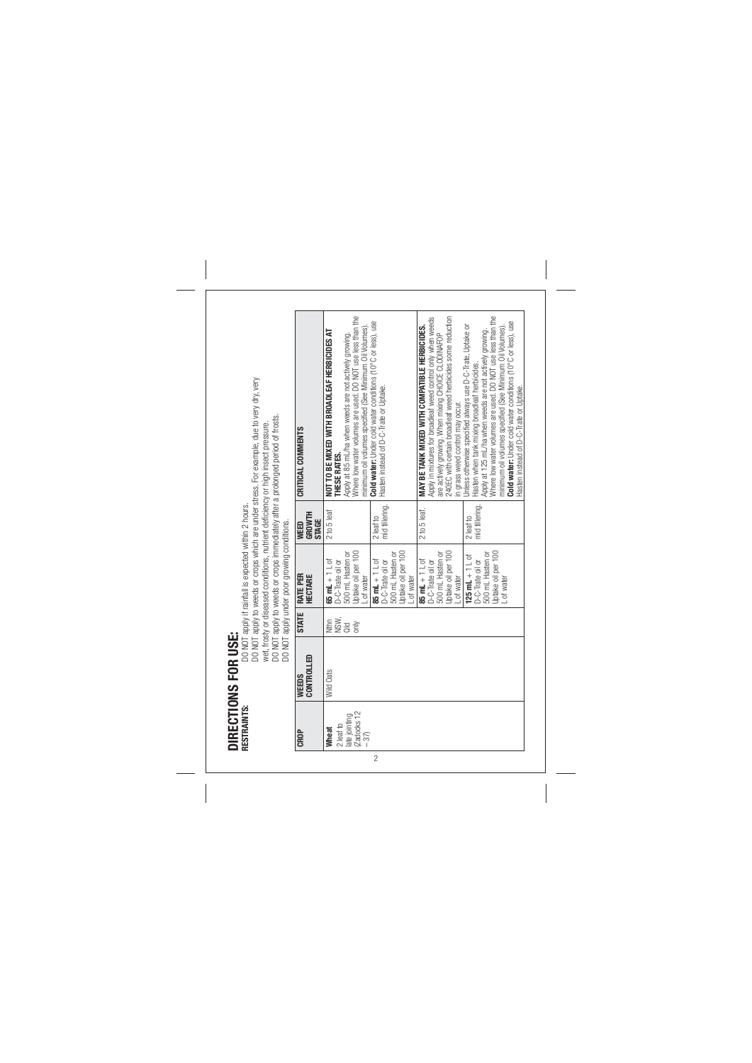| WEEDS<br>Controlled | <b>STATE</b> | DO NOT apply under poor growing conditions.<br>RATE PER<br>HECTARE                                  | WEED<br>GROWTH              | CRITICAL COMMENTS                                                                                                                                                                                                                                                                                                                                                                                         |
|---------------------|--------------|-----------------------------------------------------------------------------------------------------|-----------------------------|-----------------------------------------------------------------------------------------------------------------------------------------------------------------------------------------------------------------------------------------------------------------------------------------------------------------------------------------------------------------------------------------------------------|
| Wild Oats           | 上<br>2008年   | 500 mL Hasten or<br>65 mL + $1 \perp$ of<br>D-C-Trate oil or                                        | 2 to 5 leaf<br><b>STAGE</b> | NOT TO BE MIXED WITH BROADLEAF HERBICIDES AT<br>Apply at 85 mL/ha when weeds are not actively growing.<br>THESE RATES.                                                                                                                                                                                                                                                                                    |
|                     |              | Uptake oil per 100<br>L of water                                                                    |                             | Where low water volumes are used. DO NOT use less than the<br>minimum oil volumes specified (See Minimum Oil Volumes).                                                                                                                                                                                                                                                                                    |
|                     |              | Uptake oil per 100<br>500 mL Hasten or<br>85 mL + $1 \perp$ of<br>D-C-Trate oil or<br>- of water    | 2 leaf to<br>mid tillering. | Cold water: Under cold water conditions (10°C or less), use<br>Hasten instead of D-C-Trate or Uptake.                                                                                                                                                                                                                                                                                                     |
|                     |              | Uptake oil per 100<br>500 mL Hasten or<br>85 mL $+1$ L of<br>D-C-Trate oil or<br>- of water         | 2 to 5 leaf.                | are actively growing. When mixing CHOICE CLODINAFOP<br>240EC with certain broadleaf weed herbicides some reduction<br>Apply in mixtures for broadleaf weed control only when weeds<br>MAY BE TANK MIXED WITH COMPATIBLE HERBICIDES.<br>in grass weed control may occur.                                                                                                                                   |
|                     |              | Uptake oil per 100<br>500 mL Hasten or<br>$125$ mL + $1 \perp$ of<br>D-C-Trate oil or<br>L of water | 2 leaf to<br>mid tillering. | Where low water volumes are used. DO NOT use less than the<br>Cold water: Under cold water conditions (10°C or less), use<br>Unless otherwise specified always use D-C-Trate, Uptake or<br>minimum oil volumes specified (See Minimum Oil Volumes).<br>Apply at 125 mL/ha when weeds are not actively growing.<br>Hasten when tank mixing broadleaf herbicides.<br>Hasten instead of D-C-Trate or Uptake. |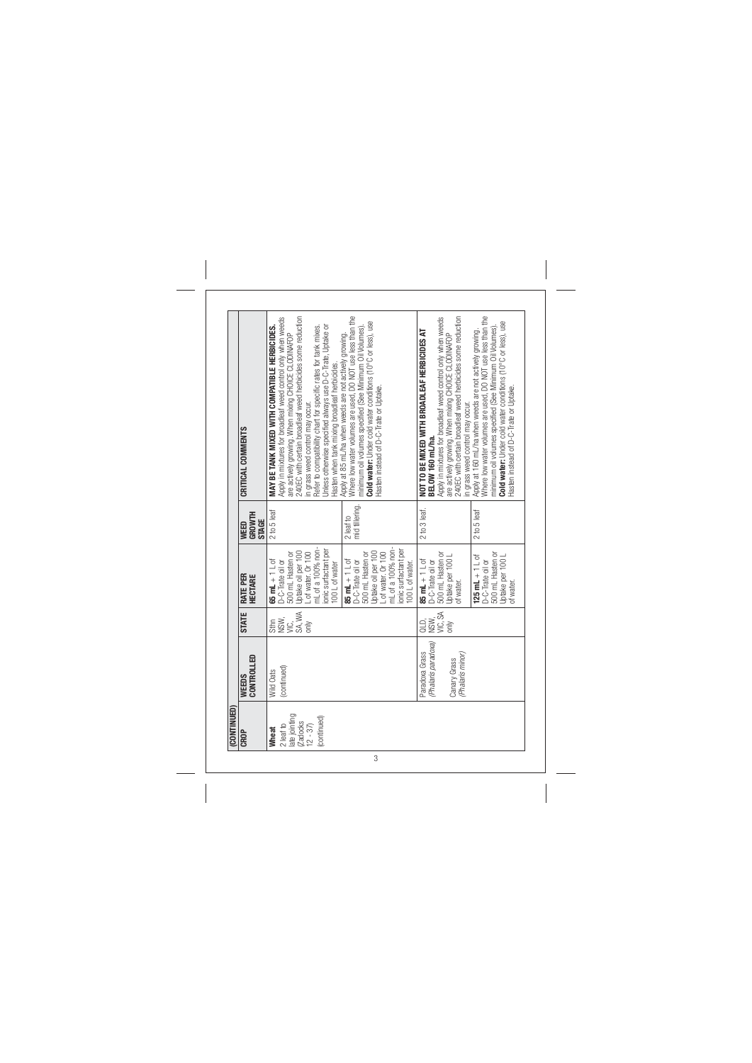|             | CRITICAL COMMENTS              | Apply in mixtures for broadleaf weed control only when weeds<br>are actively growing. When mixing CHOICE CLODINAFOP<br>240EC with certain broadleaf weed herbicides some reduction<br>Unless otherwise specified always use D-C-Trate, Uptake or<br>Refer to compatibility chart for specific rates for tank mixes.<br>MAY BE TANK MIXED WITH COMPATIBLE HERBICIDES.<br>Hasten when tank mixing broadleaf herbicides.<br>in grass weed control may occur. | Where low water volumes are used, DO NOT use less than the<br>Cold water: Under cold water conditions (10°C or less), use<br>minimum oil volumes specified (See Minimum Oil Volumes).<br>Apply at 85 mL/ha when weeds are not actively growing.<br>Hasten instead of D-C-Trate or Uptake. | Apply in mixtures for broadleaf weed control only when weeds<br>240EC with certain broadleaf weed herbicides some reduction<br>NOT TO BE MIXED WITH BROADLEAF HERBICIDES AT<br>are actively growing. When mixing CHOICE CLODINAFOP<br>in grass weed control may occur.<br>BELOW 160 mL/ha. | Where low water volumes are used, DO NOT use less than the<br>Cold water: Under cold water conditions (10°C or less), use<br>minimum oil volumes specified (See Minimum Oil Volumes).<br>Apply at 160 mL/ha when weeds are not actively growing.<br>Hasten instead of D-C-Trate or Uptake. |
|-------------|--------------------------------|-----------------------------------------------------------------------------------------------------------------------------------------------------------------------------------------------------------------------------------------------------------------------------------------------------------------------------------------------------------------------------------------------------------------------------------------------------------|-------------------------------------------------------------------------------------------------------------------------------------------------------------------------------------------------------------------------------------------------------------------------------------------|--------------------------------------------------------------------------------------------------------------------------------------------------------------------------------------------------------------------------------------------------------------------------------------------|--------------------------------------------------------------------------------------------------------------------------------------------------------------------------------------------------------------------------------------------------------------------------------------------|
|             | GROWTH<br><b>STAGE</b><br>WEED | 2 to 5 leaf                                                                                                                                                                                                                                                                                                                                                                                                                                               | 2 leaf to<br>mid tillering.                                                                                                                                                                                                                                                               | $2 to 3$ leaf.                                                                                                                                                                                                                                                                             | 2 to 5 leaf                                                                                                                                                                                                                                                                                |
|             | RATE PER<br>HECTARE            | mL of a 100% non-<br>ionic surfactant per<br>Uptake oil per 100<br>L of water. Or 100<br>500 mL Hasten or<br>$65$ mL $+1$ L of<br>D-C-Trate oil or<br>100 L of water                                                                                                                                                                                                                                                                                      | mL of a 100% non-<br>ionic surfactant per<br>L of water. Or 100<br>Uptake oil per 100<br>500 mL Hasten or<br>85 mL + $1 \perp$ of<br>D-C-Trate oil or<br>100 L of water.                                                                                                                  | 500 mL Hasten or<br>Uptake per 100 L<br>$85 \text{ mL} + 1 \text{ L of}$<br>D-C-Trate oil or<br>of water.                                                                                                                                                                                  | 500 mL Hasten or<br>Uptake per 100 L<br>125 mL $+1$ L of<br>D-C-Trate oil or<br>of water.                                                                                                                                                                                                  |
|             | <b>STATE</b>                   | SA, WA<br>stang<br>Sang<br>only                                                                                                                                                                                                                                                                                                                                                                                                                           |                                                                                                                                                                                                                                                                                           | VIC, SA<br>ais)<br>as                                                                                                                                                                                                                                                                      |                                                                                                                                                                                                                                                                                            |
|             | CONTROLLED<br>WEEDS            | (continued)<br>Wild Oats                                                                                                                                                                                                                                                                                                                                                                                                                                  |                                                                                                                                                                                                                                                                                           | (Phalaris paradoxa)<br>Paradoxa Grass<br>(Phalaris minor)<br>Canary Grass                                                                                                                                                                                                                  |                                                                                                                                                                                                                                                                                            |
| (CONTINUED) | CROP                           | late jointing<br>(continued)<br>Zadocks<br>$2$ leaf to<br>$12 - 37$<br>Wheat                                                                                                                                                                                                                                                                                                                                                                              |                                                                                                                                                                                                                                                                                           |                                                                                                                                                                                                                                                                                            |                                                                                                                                                                                                                                                                                            |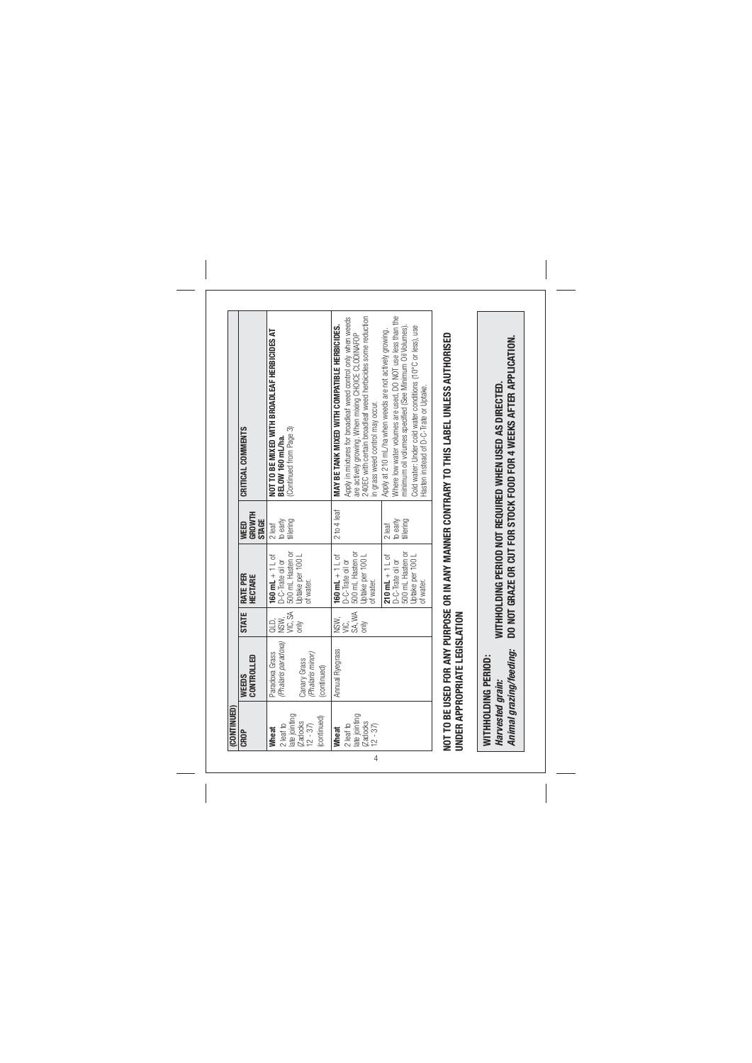| CROP                                                                       | CONTROLLED<br>WEEDS                                                                      | <b>STATE</b>                    | RATE PER<br><b>HECTARE</b>                                                                       | <b>GROWTH</b><br>STAGE<br>WEED    | CRITICAL COMMENTS                                                                                                                                                                                                                                                                          |
|----------------------------------------------------------------------------|------------------------------------------------------------------------------------------|---------------------------------|--------------------------------------------------------------------------------------------------|-----------------------------------|--------------------------------------------------------------------------------------------------------------------------------------------------------------------------------------------------------------------------------------------------------------------------------------------|
| late jointing<br>continued<br>Zadocks<br>$2$ leaf to<br>$12 - 37$<br>Wheat | (Phalaris paradoxa)<br>Paradoxa Grass<br>(Phalaris minor)<br>Canary Grass<br>(continued) | QLD,<br>NSW,<br>VIC, SA<br>only | 500 mL Hasten or<br>Uptake per 100 L<br>160 mL $+1$ L of<br>D-C-Trate oil or<br>of water.        | to early<br>tillering<br>$2$ leaf | NOT TO BE MIXED WITH BROADLEAF HERBICIDES AT<br>BELOW 160 mL/ha.<br>(Continued from Page 3)                                                                                                                                                                                                |
| ate jointing<br>Zadocks<br>$2$ leaf to<br>$12 - 37$<br>Wheat               | Annual Ryegrass                                                                          | NSW,<br>VIC,<br>SA, WA<br>only  | D-C-Trate oil or<br>500 mL Hasten or<br>Uptake per 100 L<br>160 mL $+1$ L of<br>of water.        | 2 to 4 leaf                       | Apply in mixtures for broadleaf weed control only when weeds<br>are actively growing. When mixing CHOICE CLODINAFOP<br>240EC with certain broadleaf weed herbicides some reduction<br>MAY BE TANK MIXED WITH COMPATIBLE HERBICIDES.<br>in grass weed control may occur.                    |
|                                                                            |                                                                                          |                                 | <b>210 mL</b> $+1$ L of<br>D-C-Trate oil or<br>500 mL Hasten or<br>Uptake per 100 L<br>of water. | 2 leaf<br>to early<br>tillering   | Where low water volumes are used, DO NOT use less than the<br>Cold water: Under cold water conditions (10°C or less), use<br>minimum oil volumes specified (See Minimum Oil Volumes).<br>Apply at 210 mL/ha when weeds are not actively growing.<br>Hasten instead of D-C-Trate or Uptake. |
| Harvested grain:                                                           | UNDER APPROPRIATE LEGISLATION<br>Animal grazing/feeding:<br>WITHHOLDING PERIOD:          |                                 |                                                                                                  |                                   | NOT TO BE USED FOR ANY PURPOSE OR IN ANY MANNER CONTRARY TO THIS LABEL UNLESS AUTHORISED<br>DO NOT GRAZE OR CUT FOR STOCK FOOD FOR 4 WEEKS AFTER APPLICATION.<br>WITHHOLDING PERIOD NOT REQUIRED WHEN USED AS DIRECTED                                                                     |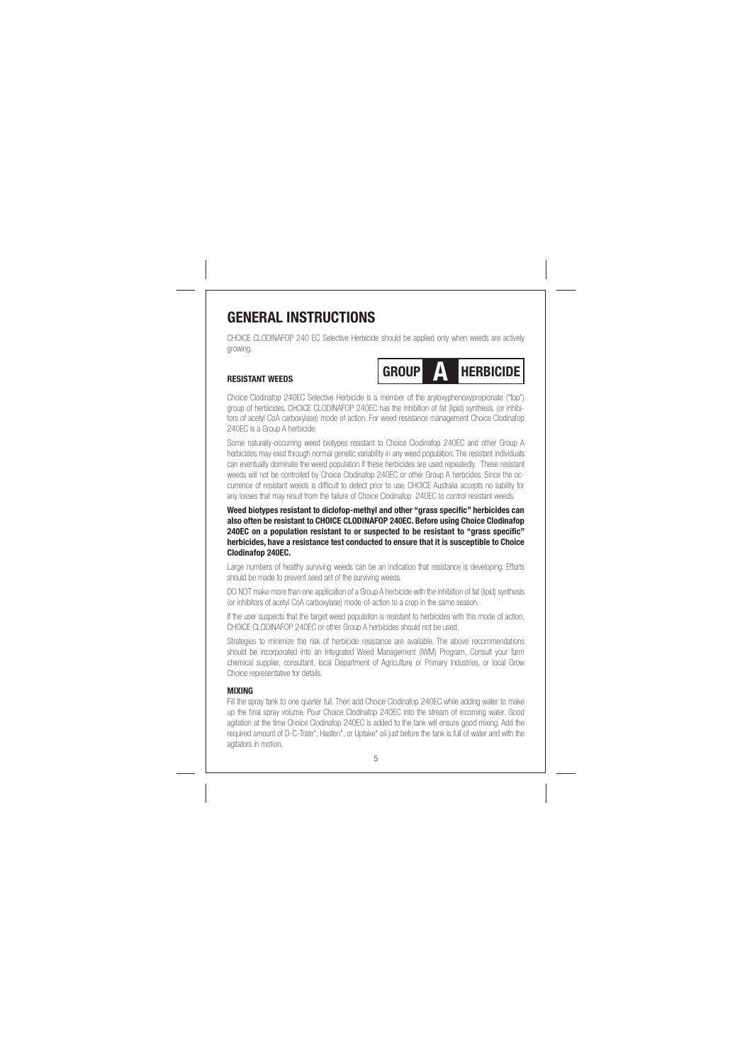# **GENERAL INSTRUCTIONS**

CHOICE CLODINAFOP 240 EC Selective Herbicide should be applied only when weeds are actively growing.

#### **RESISTANT WEEDS**



Choice Clodinafop 240EC Selective Herbicide is a member of the aryloxyphenoxypropionate ("fop") group of herbicides. CHOICE CLODINAFOP 240EC has the inhibition of fat (lipid) synthesis, (or inhibi-<br>group of herbicides. CHOICE CLODINAFOP 240EC has the inhibition of fat (lipid) synthesis, (or inhibitors of acetyl CoA carboxylase) mode of action. For weed resistance management Choice Clodinafop 240EC is a Group A herbicide.

Some naturally-occurring weed biotypes resistant to Choice Clodinafop 240EC and other Group A herbicides may exist through normal genetic variability in any weed population. The resistant individuals can eventually dominate the weed population if these herbicides are used repeatedly. These resistant weeds will not be controlled by Choice Clodinafop 240EC or other Group A herbcides. Since the occurrence of resistant weeds is difficult to detect prior to use, CHOICE Australia accepts no liability for any losses that may result from the failure of Choice Clodinafop 240EC to control resistant weeds.

Weed biotypes resistant to diclofop-methyl and other "grass specific" herbicides can **also often be resistant to CHOICE CLODINAFOP 240EC. Before using Choice Clodinafop 240EC on a population resistant to or suspected to be resistant to "grass specifi c" herbicides, have a resistance test conducted to ensure that it is susceptible to Choice Clodinafop 240EC.**

Large numbers of healthy surviving weeds can be an indication that resistance is developing. Efforts should be made to prevent seed set of the surviving weeds.

DO NOT make more than one application of a Group A herbicide with the inhibition of fat (lipid) synthesis (or inhibitors of acetyl CoA carboxylase) mode-of-action to a crop in the same season.

If the user suspects that the target weed population is resistant to herbicides with this mode of action, CHOICE CLODINAFOP 240EC or other Group A herbicides should not be used.

Strategies to minimize the risk of herbicide resistance are available. The above recommendations should be incorporated into an Integrated Weed Management (IWM) Program. Consult your farm chemical supplier, consultant, local Department of Agriculture or Primary Industries, or local Grow Choice representative for details.

## **MIXING**

Fill the spray tank to one quarter full. Then add Choice Clodinafop 240EC while adding water to make up the final spray volume. Pour Choice Clodinafop 240EC into the stream of incoming water. Good agitation at the time Choice Clodinafop 240EC is added to the tank will ensure good mixing. Add the required amount of D-C-Trate\*, Hasten\*, or Uptake\* oil just before the tank is full of water and with the agitators in motion.

5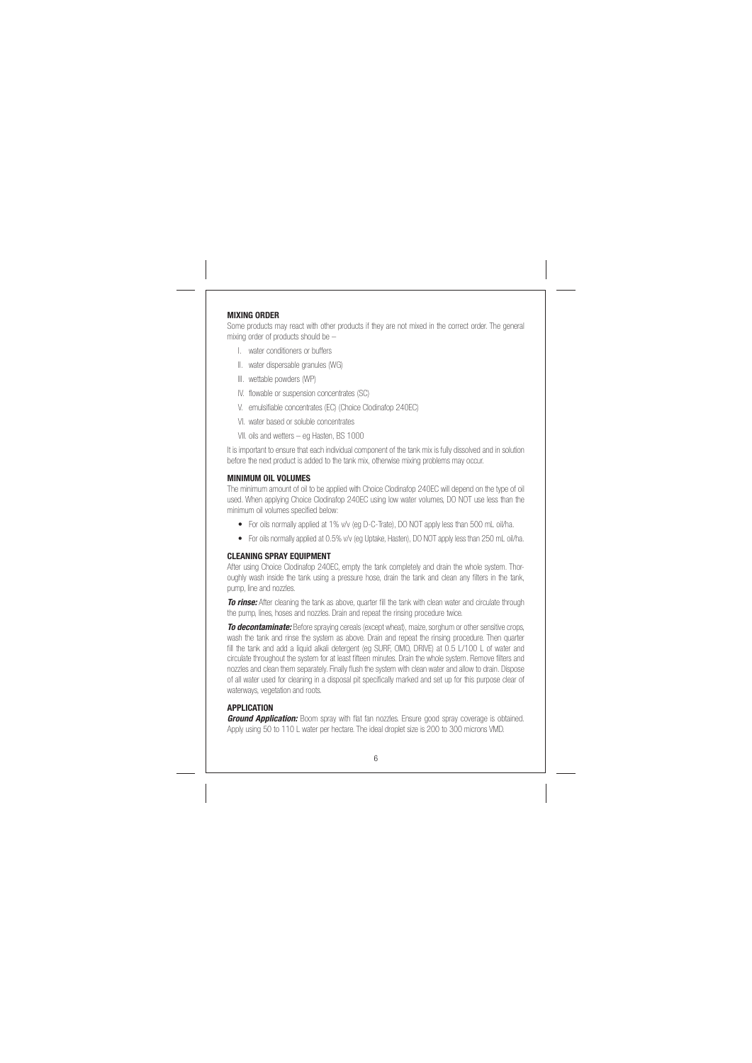#### **MIXING ORDER**

Some products may react with other products if they are not mixed in the correct order. The general mixing order of products should be –

- I. water conditioners or buffers
- II. water dispersable granules (WG)
- III. wettable powders (WP)
- IV. flowable or suspension concentrates (SC)
- V. emulsifiable concentrates (EC) (Choice Clodinafop 240EC)
- VI. water based or soluble concentrates
- VII. oils and wetters eg Hasten, BS 1000

It is important to ensure that each individual component of the tank mix is fully dissolved and in solution before the next product is added to the tank mix, otherwise mixing problems may occur.

#### **MINIMUM OIL VOLUMES**

The minimum amount of oil to be applied with Choice Clodinafop 240EC will depend on the type of oil used. When applying Choice Clodinafop 240EC using low water volumes, DO NOT use less than the minimum oil volumes specified below

- For oils normally applied at 1% v/v (eg D-C-Trate), DO NOT apply less than 500 mL oil/ha.
- For oils normally applied at 0.5% v/v (eg Uptake, Hasten), DO NOT apply less than 250 mL oil/ha.

#### **CLEANING SPRAY EQUIPMENT**

After using Choice Clodinafop 240EC, empty the tank completely and drain the whole system. Thoroughly wash inside the tank using a pressure hose, drain the tank and clean any filters in the tank, pump, line and nozzles

**To rinse:** After cleaning the tank as above, quarter fill the tank with clean water and circulate through the pump, lines, hoses and nozzles. Drain and repeat the rinsing procedure twice.

*To decontaminate:* Before spraying cereals (except wheat), maize, sorghum or other sensitive crops, wash the tank and rinse the system as above. Drain and repeat the rinsing procedure. Then quarter fill the tank and add a liquid alkali detergent (eg SURF, OMO, DRIVE) at 0.5 L/100 L of water and circulate throughout the system for at least fifteen minutes. Drain the whole system. Remove filters and nozzles and clean them separately. Finally flush the system with clean water and allow to drain. Dispose of all water used for cleaning in a disposal pit specifically marked and set up for this purpose clear of waterways, vegetation and roots.

## **APPLICATION**

**Ground Application:** Boom spray with flat fan nozzles. Ensure good spray coverage is obtained. Apply using 50 to 110 L water per hectare. The ideal droplet size is 200 to 300 microns VMD.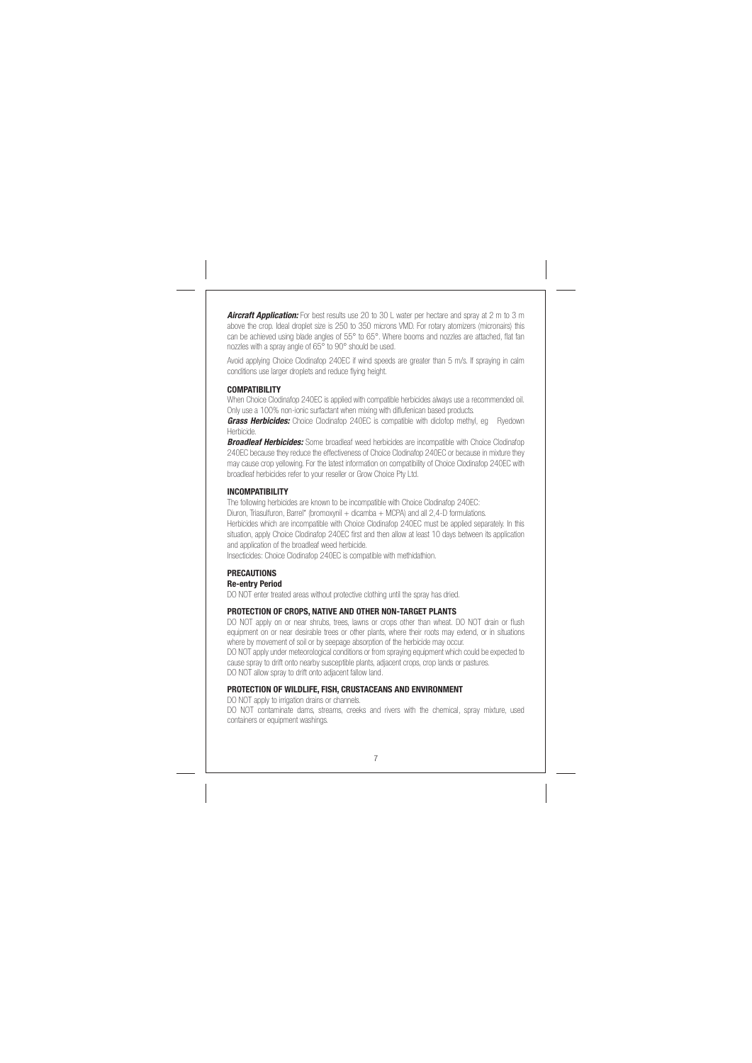*Aircraft Application:* For best results use 20 to 30 L water per hectare and spray at 2 m to 3 m above the crop. Ideal droplet size is 250 to 350 microns VMD. For rotary atomizers (micronairs) this can be achieved using blade angles of 55° to 65°. Where booms and nozzles are attached, flat fan nozzles with a spray angle of 65° to 90° should be used.

Avoid applying Choice Clodinafop 240EC if wind speeds are greater than 5 m/s. If spraying in calm conditions use larger droplets and reduce flying height.

#### **COMPATIBILITY**

When Choice Clodinafop 240EC is applied with compatible herbicides always use a recommended oil. Only use a 100% non-ionic surfactant when mixing with diflufenican based products.

*Grass Herbicides:* Choice Clodinafop 240EC is compatible with diclofop methyl, eg Ryedown Herbicide.

**Broadleaf Herbicides:** Some broadleaf weed herbicides are incompatible with Choice Clodinafop 240EC because they reduce the effectiveness of Choice Clodinafop 240EC or because in mixture they may cause crop yellowing. For the latest information on compatibility of Choice Clodinafop 240EC with broadleaf herbicides refer to your reseller or Grow Choice Pty Ltd.

#### **INCOMPATIBILITY**

The following herbicides are known to be incompatible with Choice Clodinafop 240EC: Diuron, Triasulfuron, Barrel\* (bromoxynil + dicamba + MCPA) and all 2,4-D formulations. Herbicides which are incompatible with Choice Clodinafop 240EC must be applied separately. In this situation, apply Choice Clodinafop 240EC first and then allow at least 10 days between its application and application of the broadleaf weed herbicide.

Insecticides: Choice Clodinafop 240EC is compatible with methidathion.

#### **PRECAUTIONS Re-entry Period**

DO NOT enter treated areas without protective clothing until the spray has dried.

#### **PROTECTION OF CROPS, NATIVE AND OTHER NON-TARGET PLANTS**

DO NOT apply on or near shrubs, trees, lawns or crops other than wheat. DO NOT drain or flush equipment on or near desirable trees or other plants, where their roots may extend, or in situations where by movement of soil or by seepage absorption of the herbicide may occur. DO NOT apply under meteorological conditions or from spraying equipment which could be expected to cause spray to drift onto nearby susceptible plants, adjacent crops, crop lands or pastures. DO NOT allow spray to drift onto adjacent fallow land.

## **PROTECTION OF WILDLIFE, FISH, CRUSTACEANS AND ENVIRONMENT**

DO NOT apply to irrigation drains or channels. DO NOT contaminate dams, streams, creeks and rivers with the chemical, spray mixture, used containers or equipment washings.